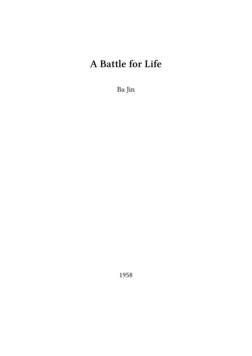# **A Battle for Life**

Ba Jin

1958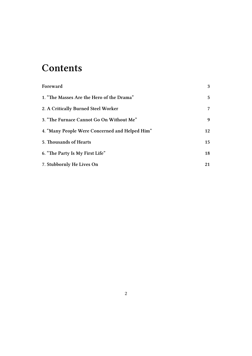### **Contents**

| Foreward                                       | 3  |
|------------------------------------------------|----|
| 1. "The Masses Are the Hero of the Drama"      | 5  |
| 2. A Critically Burned Steel Worker            | 7  |
| 3. "The Furnace Cannot Go On Without Me"       | 9  |
| 4. "Many People Were Concerned and Helped Him" | 12 |
| 5. Thousands of Hearts                         | 15 |
| 6. "The Party Is My First Life"                | 18 |
| 7. Stubbornly He Lives On                      | 21 |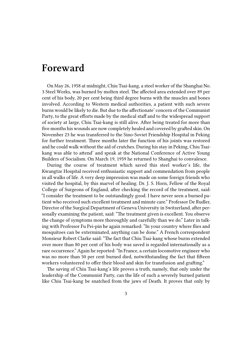#### <span id="page-2-0"></span>**Foreward**

On May 26, 1958 at midnight, Chiu Tsai-kang, a steel worker of the Shanghai No. 3 Steel Works, was burned by molten steel. The affected area extended over 89 per cent of his body, 20 per cent being third degree burns with the muscles and bones involved. According to Western medical authorities, a patient with such severe burns would be likely to die. But due to the affectionate' concern of the Communist Party, to the great efforts made by the medical staff and to the widespread support of society at large, Chiu Tsai-kang is still alive. After being treated for more than five months his wounds are now completely healed and covered by grafted skin. On November 23 he was transferred to the Sino-Soviet Friendship Hospital in Peking for further treatment. Three months later the function of his joints was restored and he could walk without the aid of crutches. During his stay in Peking, Chiu Tsaikang was able to attend' and speak at the National Conference of Active Young Builders of Socialism. On March 19, 1959 he returned to Shanghai to convalesce.

During the course of treatment which saved this steel worker's life, the Kwangtze Hospital received enthusiastic support and commendation from people in all walks of life. A very deep impression was made on some foreign friends who visited the hospital, by this marvel of healing. Dr. J. S. Horn, Fellow of the Royal College of Surgeons of England, after checking the record of the treatment, said: "I consider the treatment to be outstandingly good. I have never seen a burned patient who received such excellent treatment and minute care." Professor De Rudler, Director of the Surgical Department of Geneva University in Switzerland, after personally examining the patient, said: "The treatment given is excellent. You observe the change of symptoms more thoroughly and carefully than we do." Later in talking with Professor Fu Pei-pin he again remarked: "In your country where flies and mosquitoes can be exterminated, anything can be done." A French correspondent Monsieur Robert Clarke said: "The fact that Chiu Tsai-kang whose burns extended over more than 80 per cent of his body was saved is regarded internationally as a rare occurrence." Again he reported: "In France, a certain locomotive engineer who was no more than 50 per cent burned died, notwithstanding the fact that fifteen workers volunteered to offer their blood and skin for transfusion and grafting."

The saving of Chiu Tsai-kang's life proves a truth, namely, that only under the leadership of the Communist Party, can the life of such a severely burned patient like Chiu Tsai-kang be snatched from the jaws of Death. It proves that only by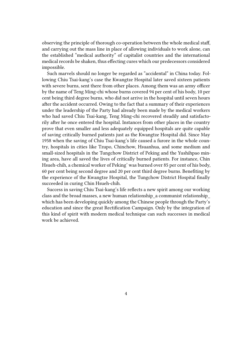observing the principle of thorough co-operation between the whole medical staff, and carrying out the mass line in place of allowing individuals to work alone, can the established "medical authority" of capitalist countries and the international medical records be shaken, thus effecting cures which our predecessors considered impossible.

Such marvels should no longer be regarded as "accidental" in China today. Following Chiu Tsai-kang's case the Kwangtze Hospital later saved sixteen patients with severe burns, sent there from other places. Among them was an army officer by the name of Teng Ming-chi whose burns covered 94 per cent of his body, 10 per cent being third degree burns, who did not arrive in the hospital until seven hours after the accident occurred. Owing to the fact that a summary of their experiences under the leadership of the Party had already been made by the medical workers who had saved Chiu Tsai-kang, Teng Ming-chi recovered steadily and satisfactorily after he once entered the hospital. Instances from other places in the country prove that even smaller and less adequately equipped hospitals are quite capable of saving critically burned patients just as the Kwangtze Hospital did. Since May 1958 when the saving of Chiu Tsai-kang's life caused a furore in the whole country, hospitals in cities like Tzupo, Chinchow, Hsuanhua, and some medium and small-sized hospitals in the Tungchow District of Peking and the Yushihpao mining area, have all saved the lives of critically burned patients. For instance, Chin Hsueh-chih, a chemical worker of Peking' was burned over 85 per cent of his body, 60 per cent being second degree and 20 per cent third degree burns. Benefiting by the experience of the Kwangtze Hospital, the Tungchow District Hospital finally succeeded in curing Chin Hsueh-chih.

Success in saving Chiu Tsai-kang's life reflects a new spirit among our working class and the broad masses, a new human relationship\_a communist relationship\_ which has been developing quickly among the Chinese people through the Party's education and since the great Rectification Campaign. Only by the integration of this kind of spirit with modern medical technique can such successes in medical work be achieved.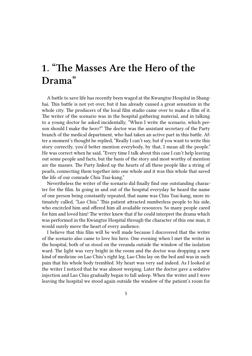### <span id="page-4-0"></span>**1. "The Masses Are the Hero of the Drama"**

A battle to save life has recently been waged at the Kwangtze Hospital in Shanghai. This battle is not yet over, but it has already caused a great sensation in the whole city. The producers of the local film studio came over to make a film of it. The writer of the scenario was in the hospital gathering material, and in talking to a young doctor he asked incidentally, "When I write the scenario, which person should I make the hero?" The doctor was the assistant secretary of the Party branch of the medical department, who had taken an active part in this battle. After a moment's thought he replied, "Really I can't say, but if you want to write this story correctly, you'd better mention everybody, by that, I mean all the people." He was correct when he said, "Every time I talk about this case I can't help leaving out some people and facts, but the basis of the story and most worthy of mention are the masses. The Party linked up the hearts of all these people like a string of pearls, connecting them together into one whole and it was this whole that saved the life of our comrade Chiu Tsai-kang."

Nevertheless the writer of the scenario did finally find one outstanding character for the film. In going in and out of the hospital everyday he heard the name of one person being constantly repeated, that name was Chiu Tsai-kang, more intimately called, "Lao Chiu." This patient attracted numberless people to his side, who encircled him and offered him all available resources. So many people cared for him and loved him! The writer knew that if he could interpret the drama which was performed in the Kwangtze Hospital through the character of this one man, it would surely move the heart of every audience.

I believe that this film will be well made because I discovered that the writer of the scenario also came to love his hero. One evening when I met the writer in the hospital, both of us stood on the veranda outside the window of the isolation ward. The light was very bright in the room and the doctor was dropping a new kind of medicine on Lao Chiu's right leg. Lao Chiu lay on the bed and was in such pain that his whole body trembled. My heart was very sad indeed. As I looked at the writer I noticed that he was almost weeping. Later the doctor gave a sedative injection and Lao Chiu gradually began to fall asleep. When the writer and I were leaving the hospital we stood again outside the window of the patient's room for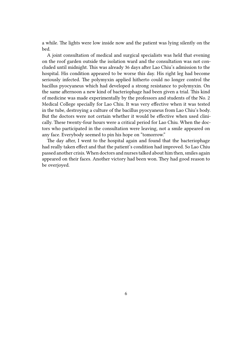a while. The lights were low inside now and the patient was lying silently on the bed.

A joint consultation of medical and surgical specialists was held that evening on the roof garden outside the isolation ward and the consultation was not concluded until midnight. This was already 36 days after Lao Chiu's admission to the hospital. His condition appeared to be worse this day. His right leg had become seriously infected. The polymyxin applied hitherto could no longer control the bacillus pyocyaneus which had developed a strong resistance to polymyxin. On the same afternoon a new kind of bacteriophage had been given a trial. This kind of medicine was made experimentally by the professors and students of the No. 2 Medical College specially for Lao Chiu. It was very effective when it was tested in the tube, destroying a culture of the bacillus pyocyaneus from Lao Chiu's body. But the doctors were not certain whether it would be effective when used clinically. These twenty-four hours were a critical period for Lao Chiu. When the doctors who participated in the consultation were leaving, not a smile appeared on any face. Everybody seemed to pin his hope on "tomorrow."

The day after, I went to the hospital again and found that the bacteriophage had really taken effect and that the patient's condition had improved. So Lao Chiu passed another crisis. When doctors and nurses talked about him then, smiles again appeared on their faces. Another victory had been won. They had good reason to be overjoyed.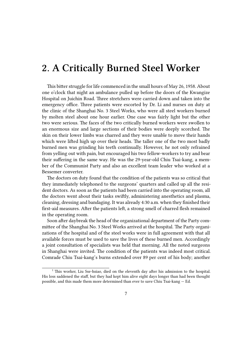### <span id="page-6-0"></span>**2. A Critically Burned Steel Worker**

This bitter struggle for life commenced in the small hours of May 26, 1958. About one o'clock that night an ambulance pulled up before the doors of the Kwangize Hospital on Juichin Road. Three stretchers were carried down and taken into the emergency office. Three patients were escorted by Dr. Li and nurses on duty at the clinic of the Shanghai No. 3 Steel Works, who were all steel workers burned by molten steel about one hour earlier. One case was fairly light but the other two were serious. The faces of the two critically burned workers were swollen to an enormous size and large sections of their bodies were deeply scorched. The skin on their lower limbs was charred and they were unable to move their hands which were lifted high up over their heads. The taller one of the two most badly burned men was grinding his teeth continually. However, he not only refrained from yelling out with pain, but encouraged his two fellow-workers to try and bear their suffering in the same way. He was the 29-year-old Chiu Tsai-kang, a member of the Communist Party and also an excellent team leader who worked at a Bessemer converter.

The doctors on duty found that the condition of the patients was so critical that they immediately telephoned to the surgeons' quarters and called up all the resident doctors. As soon as the patients had been carried into the operating room, all the doctors went about their tasks swiftly, administering anesthetics and plasma, cleaning, dressing and bandaging. It was already 4:30 a.m. when they finished their first-aid measures. After the patients left, a strong smell of charred flesh remained in the operating room.

Soon after daybreak the head of the organizational department of the Party committee of the Shanghai No. 3 Steel Works arrived at the hospital. The Party organizations of the hospital and of the steel works were in full agreement with that all available forces must be used to save the lives of these burned men. Accordingly a joint consultation of specialists was held that morning. All the noted surgeons in Shanghai were invited. The condition of the patients was indeed most critical. Comrade Chiu Tsai-kang's burns extended over 89 per cent of his body; another

<sup>&</sup>lt;sup>1</sup> This worker, Liu Sse-hsiao, died on the eleventh day after his admission to the hospital. His loss saddened the staff, but they had kept him alive eight days longer than had been thought possible, and this made them more determined than ever to save Chiu Tsai-kang — Ed.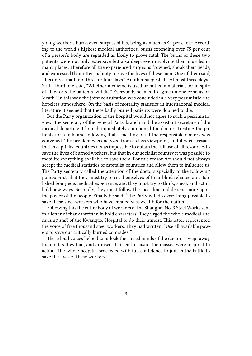young worker's burns even surpassed his, being as much as 91 per cent.<sup>1</sup> According to the world's highest medical authorities, burns extending over 75 per cent of a person's body are regarded as likely to prove fatal. The burns of these two patients were not only extensive but also deep, even involving their muscles in many places. Therefore all the experienced surgeons frowned, shook their heads, and expressed their utter inability to save the lives of these men. One of them said, "It is only a matter of three or four days." Another suggested, "At most three days." Still a third one said, "Whether medicine is used or not is immaterial, for in spite of all efforts the patients will die." Everybody seemed to agree on one conclusion "death." In this way the joint consultation was concluded in a very pessimistic and hopeless atmosphere. On the basis of mortality statistics in international medical literature it seemed that these badly burned patients were doomed to die.

But the Party organization of the hospital would not agree to such a pessimistic view. The secretary of the general Party branch and the assistant secretary of the medical department branch immediately summoned the doctors treating the patients for a talk, and following that a meeting of all the responsible doctors was convened. The problem was analyzed from a class viewpoint, and it was stressed that in capitalist countries it was impossible to obtain the full use of all resources to save the lives of burned workers, but that in our socialist country it was possible to mobilize everything available to save them. For this reason we should not always accept the medical statistics of capitalist countries and allow them to influence us. The Party secretary called the attention of the doctors specially to the following points: First, that they must try to rid themselves of their blind reliance on established bourgeois medical experience, and they must try to think, speak and act in bold new ways. Secondly, they must follow the mass line and depend more upon the power of the people. Finally he said, "The Party will do everything possible to save these steel workers who have created vast wealth for the nation."

Following this the entire body of workers of the Shanghai No. 3 Steel Works sent in a letter of thanks written in bold characters. They urged the whole medical and nursing staff of the Kwangtze Hospital to do their utmost. This letter represented the voice of five thousand steel workers. They had written, "Use all available powers to save our critically burned comrades!"

These loud voices helped to unlock the closed minds of the doctors, swept away the doubts they had, and aroused their enthusiasm. The masses were inspired to action. The whole hospital proceeded with full confidence to join in the battle to save the lives of these workers.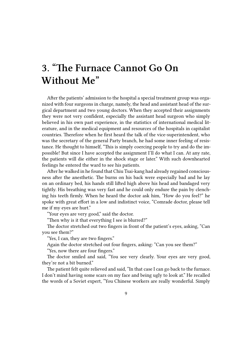## <span id="page-8-0"></span>**3. "The Furnace Cannot Go On Without Me"**

After the patients' admission to the hospital a special treatment group was organized with four surgeons in charge, namely, the head and assistant head of the surgical department and two young doctors. When they accepted their assignments they were not very confident, especially the assistant head surgeon who simply believed in his own past experience, in the statistics of international medical literature, and in the medical equipment and resources of the hospitals in capitalist countries. Therefore when he first heard the talk of the vice-superintendent, who was the secretary of the general Party branch, he had some inner feeling of resistance. He thought to himself, "This is simply coercing people to try and do the impossible! But since I have accepted the assignment I'll do what I can. At any rate, the patients will die either in the shock stage or later." With such downhearted feelings he entered the ward to see his patients.

After he walked in he found that Chiu Tsai-kang had already regained consciousness after the anesthetic. The burns on his back were especially bad and he lay on an ordinary bed, his hands still lifted high above his head and bandaged very tightly. His breathing was very fast and he could only endure the pain by clenching his teeth firmly. When he heard the doctor ask him, "How do you feel?" he spoke with great effort in a low and indistinct voice, "Comrade doctor, please tell me if my eyes are hurt."

"Your eyes are very good," said the doctor.

"Then why is it that everything I see is blurred?"

The doctor stretched out two fingers in front of the patient's eyes, asking, "Can you see them?"

"Yes, I can, they are two fingers."

Again the doctor stretched out four fingers, asking: "Can you see them?" "Yes, now there are four fingers."

The doctor smiled and said, "You see very clearly. Your eyes are very good, they're not a bit burned."

The patient felt quite relieved and said, "In that case I can go back to the furnace. I don't mind having some scars on my face and being ugly to look at." He recalled the words of a Soviet expert, "You Chinese workers are really wonderful. Simply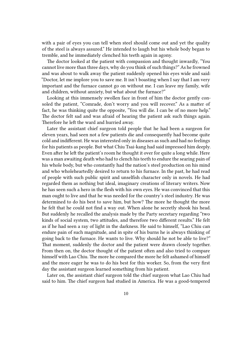with a pair of eyes you can tell when steel should come out and yet the quality of the steel is always assured." He intended to laugh but his whole body began to tremble, and he immediately clenched his teeth again in agony.

The doctor looked at the patient with compassion and thought inwardly, "You cannot live more than three days, why do you think of such things?" As he frowned and was about to walk away the patient suddenly opened his eyes wide and said: "Doctor, let me implore you to save me. It isn't boasting when I say that I am very important and the furnace cannot go on without me. I can leave my family, wife and children, without anxiety, but what about the furnace?"

Looking at this immensely swollen face in front of him the doctor gently consoled the patient, "Comrade, don't worry and you will recover." As a matter of fact, he was thinking quite the opposite, "You will die. I can be of no more help." The doctor felt sad and was afraid of hearing the patient ask such things again. Therefore he left the ward and hurried away.

Later the assistant chief surgeon told people that he had been a surgeon for eleven years, had seen not a few patients die and consequently had become quite cold and indifferent. He was interested only in diseases as such and had no feelings for his patients as people. But what Chiu Tsai-kang had said impressed him deeply. Even after he left the patient's room he thought it over for quite a long while. Here was a man awaiting death who had to clench his teeth to endure the searing pain of his whole body, but who constantly had the nation's steel production on his mind and who wholeheartedly desired to return to his furnace. In the past, he had read of people with such public spirit and unselfish character only in novels. He had regarded them as nothing but ideal, imaginary creations of literary writers. Now he has seen such a hero in the flesh with his own eyes. He was convinced that this man ought to live and that he was needed for the country's steel industry. He was determined to do his best to save him, but how? The more he thought the more he felt that he could not find a way out. When alone he secretly shook his head. But suddenly he recalled the analysis made by the Party secretary regarding "two kinds of social system, two attitudes, and therefore two different results." He felt as if he had seen a ray of light in the darkness. He said to himself, "Lao Chiu can endure pain of such magnitude, and in spite of his burns he is always thinking of going back to the furnace. He wants to live. Why should he not be able to live?" That moment, suddenly the doctor and the patient were drawn closely together. From then on, the doctor thought of the patient often and also tried to compare himself with Lao Chiu. The more he compared the more he felt ashamed of himself and the more eager he was to do his best for this worker. So, from the very first day the assistant surgeon learned something from his patient.

Later on, the assistant chief surgeon told the chief surgeon what Lao Chiu had said to him. The chief surgeon had studied in America. He was a good-tempered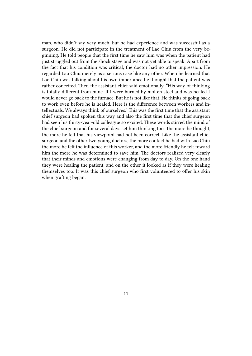man, who didn't say very much, but he had experience and was successful as a surgeon. He did not participate in the treatment of Lao Chiu from the very beginning. He told people that the first time he saw him was when the patient had just struggled out from the shock stage and was not yet able to speak. Apart from the fact that his condition was critical, the doctor had no other impression. He regarded Lao Chiu merely as a serious case like any other. When he learned that Lao Chiu was talking about his own importance he thought that the patient was rather conceited. Then the assistant chief said emotionally, "His way of thinking is totally different from mine. If I were burned by molten steel and was healed I would never go back to the furnace. But he is not like that. He thinks of going back to work even before he is healed. Here is the difference between workers and intellectuals. We always think of ourselves." This was the first time that the assistant chief surgeon had spoken this way and also the first time that the chief surgeon had seen his thirty-year-old colleague so excited. These words stirred the mind of the chief surgeon and for several days set him thinking too. The more he thought, the more he felt that his viewpoint had not been correct. Like the assistant chief surgeon and the other two young doctors, the more contact he had with Lao Chiu the more he felt the influence of this worker, and the more friendly he felt toward him the more he was determined to save him. The doctors realized very clearly that their minds and emotions were changing from day to day. On the one hand they were healing the patient, and on the other it looked as if they were healing themselves too. It was this chief surgeon who first volunteered to offer his skin when grafting began.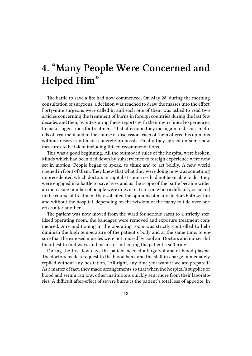## <span id="page-11-0"></span>**4. "Many People Were Concerned and Helped Him"**

The battle to save a life had now commenced. On May 28, during the morning consultation of surgeons, a decision was reached to draw the masses into the effort. Forty-nine surgeons were called in and each one of them was asked to read two articles concerning the treatment of burns in foreign countries during the last few decades and then, by integrating these reports with their own clinical experiences, to make suggestions for treatment. That afternoon they met again to discuss methods of treatment and in the course of discussion, each of them offered his opinions without reserve and made concrete proposals. Finally they agreed on some new measures to be taken including fifteen recommendations.

This was a good beginning. All the outmoded rules of the hospital were broken. Minds which had been tied down by subservience to foreign experience were now set in motion. People began to speak, to think and to act boldly. A new world opened in front of them. They knew that what they were doing now was something unprecedented which doctors in capitalist countries had not been able to do. They were engaged in a battle to save lives and as the scope of the battle became wider an increasing number of people were drawn in. Later on when a difficulty occurred in the course of treatment they solicited the opinions of many doctors both within and without the hospital, depending on the wisdom of the many to tide over one crisis after another.

The patient was now moved from the ward for serious cases to a strictly sterilized operating room, the bandages were removed and exposure treatment commenced. Air-conditioning in the operating room was strictly controlled to help diminish the high temperature of the patient's body and at the same time, to ensure that the exposed muscles were not injured by cool air. Doctors and nurses did their best to find ways and means of mitigating the patient's suffering.

During the first few days the patient needed a large volume of blood plasma. The doctors made a request to the blood bank and the staff in charge immediately replied without any hesitation, "All right, any time you want it we are prepared." As a matter of fact, they made arrangements so that when the hospital's supplies of blood and serum ran low, other institutions quickly sent more from their laboratories. A difficult after-effect of severe burns is the patient's total loss of appetite. In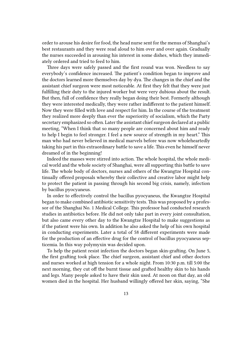order to arouse his desire for food, the head nurse sent for the menus of Shanghai's best restaurants and they were read aloud to him over and over again. Gradually the nurses succeeded in arousing his interest in some dishes, which they immediately ordered and tried to feed to him.

Three days were safely passed and the first round was won. Needless to say everybody's confidence increased. The patient's condition began to improve and the doctors learned more themselves day by dya. The changes in the chief and the assistant chief surgeon were most noticeable. At first they felt that they were just fulfilling their duty to the injured worker but were very dubious about the result. But then, full of confidence they really began doing their best. Formerly although they were interested medically, they were rather indifferent to the patient himself. Now they were filled with love and respect for him. In the course of the treatment they realized more deeply than ever the superiority of socialism, which the Party secretary emphasized so often. Later the assistant chief surgeon declared at a public meeting, "When I think that so many people are concerned about him and ready to help I begin to feel stronger. I feel a new source of strength in my heart." This man who had never believed in medical marvels before was now wholeheartedly taking his part in this extraordinary battle to save a life. This even he himself never dreamed of in the beginning!

Indeed the masses were stirred into action. The whole hospital, the whole medical world and the whole society of Shanghai, were all supporting this battle to save life. The whole body of doctors, nurses and others of the Kwangtze Hospital continually offered proposals whereby their collective and creative labor might help to protect the patient in passing through his second big crisis, namely, infection by bacillus pyocyaneus.

In order to effectively control the bacillus pyocyaneus, the Kwangtze Hospital began to make combined antibiotic sensitivity tests. This was proposed by a professor of the Shanghai No. 1 Medical College. This professor had conducted research studies in antibiotics before. He did not only take part in every joint consultation, but also came every other day to the Kwangtze Hospital to make suggestions as if the patient were his own. In addition he also asked the help of his own hospital in conducting experiments. Later a total of 58 different experiments were made for the production of an effective drug for the control of bacillus pyocyaneus septicemia. In this way polymyxin was decided upon.

To help the patient resist infection the doctors began skin-grafting. On June 5, the first grafting took place. The chief surgeon, assistant chief and other doctors and nurses worked at high tension for a whole night. From 10:30 p.m. till 5:00 the next morning, they cut off the burnt tissue and grafted healthy skin to his hands and legs. Many people asked to have their skin used. At noon on that day, an old women died in the hospital. Her husband willingly offered her skin, saying, "She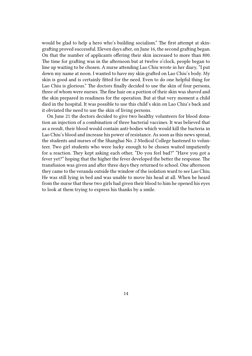would be glad to help a hero who's building socialism." The first attempt at skingrafting proved successful. Eleven days after, on June 16, the second grafting began. On that the number of applicants offering their skin increased to more than 800. The time for grafting was in the afternoon but at twelve o'clock, people began to line up waiting to be chosen. A nurse attending Lao Chiu wrote in her diary, "I put down my name at noon. I wanted to have my skin grafted on Lao Chiu's body. My skin is good and is certainly fitted for the need. Even to do one helpful thing for Lao Chiu is glorious." The doctors finally decided to use the skin of four persons, three of whom were nurses. The fine hair on a portion of their skin was shaved and the skin prepared in readiness for the operation. But at that very moment a child died in the hospital. It was possible to use this child's skin on Lao Chiu's back and it obviated the need to use the skin of living persons.

On June 21 the doctors decided to give two healthy volunteers for blood donation an injection of a combination of three bacterial vaccines. It was believed that as a result, their blood would contain anti-bodies which would kill the bacteria in Lao Chiu's blood and increase his power of resistance. As soon as this news spread, the students and nurses of the Shanghai No. 2 Medical College hastened to volunteer. Two girl students who were lucky enough to be chosen waited impatiently for a reaction. They kept asking each other, "Do you feel bad?" "Have you got a fever yet?" hoping that the higher the fever developed the better the response. The transfusion was given and after three days they returned to school. One afternoon they came to the veranda outside the window of the isolation ward to see Lao Chiu. He was still lying in bed and was unable to move his head at all. When he heard from the nurse that these two girls had given their blood to him he opened his eyes to look at them trying to express his thanks by a smile.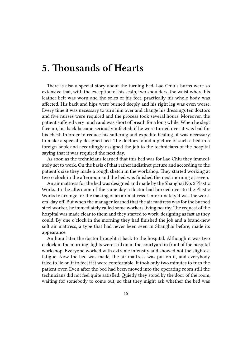### <span id="page-14-0"></span>**5. Thousands of Hearts**

There is also a special story about the turning bed. Lao Chiu's burns were so extensive that, with the exception of his scalp, two shoulders, the waist where his leather belt was worn and the soles of his feet, practically his whole body was affected. His back and hips were burned deeply and his right leg was even worse. Every time it was necessary to turn him over and change his dressings ten doctors and five nurses were required and the process took several hours. Moreover, the patient suffered very much and was short of breath for a long while. When he slept face up, his back became seriously infected; if he were turned over it was bad for his chest. In order to reduce his suffering and expedite healing, it was necessary to make a specially designed bed. The doctors found a picture of such a bed in a foreign book and accordingly assigned the job to the technicians of the hospital saying that it was required the next day.

As soon as the technicians learned that this bed was for Lao Chiu they immediately set to work. On the basis of that rather indistinct picture and according to the patient's size they made a rough sketch in the workshop. They started working at two o'clock in the afternoon and the bed was finished the next morning at seven.

An air mattress for the bed was designed and made by the Shanghai No. 2 Plastic Works. In the afternoon of the same day a doctor had hurried over to the Plastic Works to arrange for the making of an air mattress. Unfortunately it was the workers' day off. But when the manager learned that the air mattress was for the burned steel worker, he immediately called some workers living nearby. The request of the hospital was made clear to them and they started to work, designing as fast as they could. By one o'clock in the morning they had finished the job and a brand-new soft air mattress, a type that had never been seen in Shanghai before, made its appearance.

An hour later the doctor brought it back to the hospital. Although it was two o'clock in the morning, lights were still on in the courtyard in front of the hospital workshop. Everyone worked with extreme intensity and showed not the slightest fatigue. Now the bed was made, the air mattress was put on it, and everybody tried to lie on it to feel if it were comfortable. It took only two minutes to turn the patient over. Even after the bed had been moved into the operating room still the technicians did not feel quite satisfied. Quietly they stood by the door of the room, waiting for somebody to come out, so that they might ask whether the bed was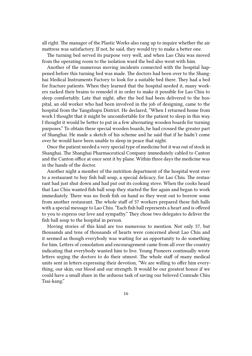all right. The manager of the Plastic Works also rang up to inquire whether the air mattress was satisfactory. If not, he said, they would try to make a better one.

The turning bed served its purpose very well, and when Lao Chiu was moved from the operating room to the isolation ward the bed also went with him.

Another of the numerous moving incidents connected with the hospital happened before this turning bed was made. The doctors had been over to the Shanghai Medical Instruments Factory to look for a suitable bed there. They had a bed for fracture patients. When they learned that the hospital needed it, many workers racked their brains to remodel it in order to make it possible for Lao Chiu to sleep comfortably. Late that night, after the bed had been delivered to the hospital, an old worker who had been involved in the job of designing, came to the hospital from the Yangshupu District. He declared, "When I returned home from work I thought that it might be uncomfortable for the patient to sleep in this way. I thought it would be better to put in a few alternating wooden boards for turning purposes." To obtain these special wooden boards, he had crossed the greater part of Shanghai. He made a sketch of his scheme and he said that if he hadn't come over he would have been unable to sleep in peace that night.

Once the patient needed a very special type of medicine but it was out of stock in Shanghai. The Shanghai Pharmaceutical Company immediately cabled to Canton and the Canton office at once sent it by plane. Within three days the medicine was in the hands of the doctor.

Another night a member of the nutrition department of the hospital went over to a restaurant to buy fish ball soup, a special delicacy, for Lao Chiu. The restaurant had just shut down and had put out its cooking stove. When the cooks heard that Lao Chiu wanted fish ball soup they started the fire again and began to work immediately. There was no fresh fish on hand so they went out to borrow some from another restaurant. The whole staff of 57 workers prepared these fish balls with a special message to Lao Chiu. "Each fish ball represents a heart and is offered to you to express our love and sympathy." They chose two delegates to deliver the fish ball soup to the hospital in person.

Moving stories of this kind are too numerous to mention. Not only 57, but thousands and tens of thousands of hearts were concerned about Lao Chiu and it seemed as though everybody was waiting for an opportunity to do something for him. Letters of consolation and encouragement came from all over the country indicating that everybody wanted him to live. Young Pioneers continually wrote letters urging the doctors to do their utmost. The whole staff of many medical units sent in letters expressing their devotion, "We are willing to offer him everything, our skin, our blood and our strength. It would be our greatest honor if we could have a small share in the arduous task of saving our beloved Comrade Chiu Tsai-kang."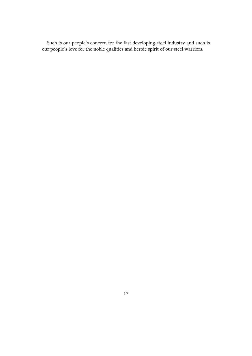Such is our people's concern for the fast developing steel industry and such is our people's love for the noble qualities and heroic spirit of our steel warriors.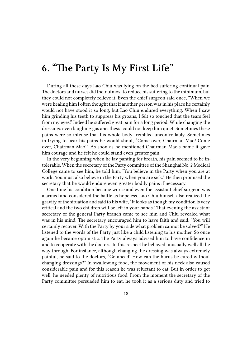### **6. "The Party Is My First Life"**

During all these days Lao Chiu was lying on the bed suffering continual pain. The doctors and nurses did their utmost to reduce his suffering to the minimum, but they could not completely relieve it. Even the chief surgeon said once, "When we were healing him I often thought that if another person was in his place he certainly would not have stood it so long, but Lao Chiu endured everything. When I saw him grinding his teeth to suppress his groans, I felt so touched that the tears feel from my eyes." Indeed he suffered great pain for a long period. While changing the dressings even laughing gas anesthesia could not keep him quiet. Sometimes these pains were so intense that his whole body trembled uncontrollably. Sometimes in trying to bear his pains he would shout, "Come over, Chairman Mao! Come over, Chairman Mao!" As soon as he mentioned Chairman Mao's name it gave him courage and he felt he could stand even greater pain.

In the very beginning when he lay panting for breath, his pain seemed to be intolerable. When the secretary of the Party committee of the Shanghai No. 2 Medical College came to see him, he told him, "You believe in the Party when you are at work. You must also believe in the Party when you are sick." He then promised the secretary that he would endure even greater bodily pains if necessary.

One time his condition became worse and even the assistant chief surgeon was alarmed and considered the battle as hopeless. Lao Chiu himself also realized the gravity of the situation and said to his wife, "It looks as though my condition is very critical and the two children will be left in your hands." That evening the assistant secretary of the general Party branch came to see him and Chiu revealed what was in his mind. The secretary encouraged him to have faith and said, "You will certainly recover. With the Party by your side what problem cannot be solved?" He listened to the words of the Party just like a child listening to his mother. So once again he became optimistic. The Party always advised him to have confidence in and to cooperate with the doctors. In this respect he behaved unusually well all the way through. For instance, although changing the dressing was always extremely painful, he said to the doctors, "Go ahead! How can the burns be cured without changing dressings?" In swallowing food, the movement of his neck also caused considerable pain and for this reason he was reluctant to eat. But in order to get well, he needed plenty of nutritious food. From the moment the secretary of the Party committee persuaded him to eat, he took it as a serious duty and tried to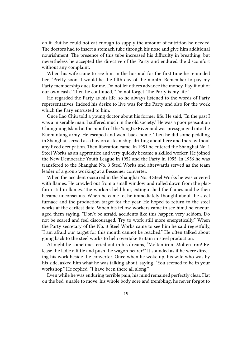do it. But he could not eat enough to supply the amount of nutrition he needed. The doctors had to insert a stomach tube through his nose and give him additional nourishment. The presence of this tube increased his difficulty in breathing, but nevertheless he accepted the directive of the Party and endured the discomfort without any complaint.

When his wife came to see him in the hospital for the first time he reminded her, "Pretty soon it would be the fifth day of the month. Remember to pay my Party membership dues for me. Do not let others advance the money. Pay it out of our own cash." Then he continued, "Do not forget. The Party is my life."

He regarded the Party as his life, so he always listened to the words of Party representatives. Indeed his desire to live was for the Party and also for the work which the Pary entrusted to him.

Once Lao Chiu told a young doctor about his former life. He said, "In the past I was a miserable man. I suffered much in the old society." He was a poor peasant on Chungming Island at the mouth of the Yangtze River and was pressganged into the Kuomintang army. He escaped and went back home. Then he did some peddling in Shanghai, served as a boy on a steamship, drifting about here and there without any fixed occupation. Then liberation came. In 1951 he entered the Shanghai No. 1 Steel Works as an apprentice and very quickly became a skilled worker. He joined the New Democratic Youth League in 1952 and the Party in 1955. In 1956 he was transfered to the Shanghai No. 3 Steel Works and afterwards served as the team leader of a group working at a Bessemer converter.

When the accident occurred in the Shanghai No. 3 Steel Works he was covered with flames. He crawled out from a small window and rolled down from the platform still in flames. The workers held him, extinguished the flames and he then became unconscious. When he came to, he immediately thought about the steel furnace and the production target for the year. He hoped to return to the steel works at the earliest date. When his fellow-workers came to see him,l he encouraged them saying, "Don't be afraid, accidents like this happen very seldom. Do not be scared and feel discouraged. Try to work still more energetically." When the Party secretary of the No. 3 Steel Works came to see him he said regretfully, "I am afraid our target for this month cannot be reached." He often talked about going back to the steel works to help overtake Britain in steel production.

At night he sometimes cried out in his dreams, "Molten iron! Molten iron! Release the ladle a little and push the wagon nearer!" It sounded as if he were directing his work beside the converter. Once when he woke up, his wife who was by his side, asked him what he was talking about, saying, "You seemed to be in your workshop." He replied: "I have been there all along."

Even while he was enduring terrible pain, his mind remained perfectly clear. Flat on the bed, unable to move, his whole body sore and trembling, he never forgot to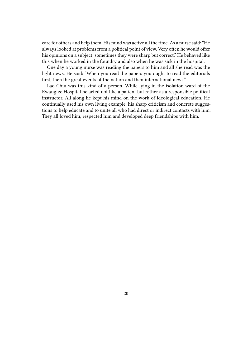care for others and help them. His mind was active all the time. As a nurse said: "He always looked at problems from a political point of view. Very often he would offer his opinions on a subject; sometimes they were sharp but correct." He behaved like this when he worked in the foundry and also when he was sick in the hospital.

One day a young nurse was reading the papers to him and all she read was the light news. He said: "When you read the papers you ought to read the editorials first, then the great events of the nation and then international news."

Lao Chiu was this kind of a person. While lying in the isolation ward of the Kwangtze Hospital he acted not like a patient but rather as a responsible political instructor. All along he kept his mind on the work of ideological education. He continually used his own living example, his sharp criticism and concrete suggestions to help educate and to unite all who had direct or indirect contacts with him. They all loved him, respected him and developed deep friendships with him.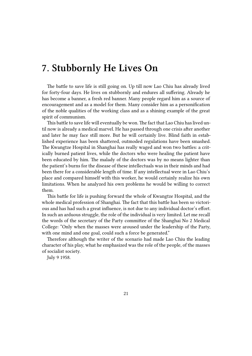### **7. Stubbornly He Lives On**

The battle to save life is still going on. Up till now Lao Chiu has already lived for forty-four days. He lives on stubbornly and endures all suffering. Already he has become a banner, a fresh red banner. Many people regard him as a source of encouragement and as a model for them. Many consider him as a personification of the noble qualities of the working class and as a shining example of the great spirit of communism.

This battle to save life will eventually be won. The fact that Lao Chiu has lived until now is already a medical marvel. He has passed through one crisis after another and later he may face still more. But he will certainly live. Blind faith in established experience has been shattered, outmoded regulations have been smashed. The Kwangtze Hospital in Shanghai has really waged and won two battles: a critically burned patient lives, while the doctors who were healing the patient have been educated by him. The malady of the doctors was by no means lighter than the patient's burns for the disease of these intellectuals was in their minds and had been there for a considerable length of time. If any intellectual were in Lao Chiu's place and compared himself with this worker, he would certainly realize his own limitations. When he analyzed his own problems he would be willing to correct them.

This battle for life is pushing forward the whole of Kwangtze Hospital, and the whole medical profession of Shanghai. The fact that this battle has been so victorious and has had such a great influence, is not due to any individual doctor's effort. In such an arduous struggle, the role of the individual is very limited. Let me recall the words of the secretary of the Party committee of the Shanghai No 2 Medical College: "Only when the masses were aroused under the leadership of the Party, with one mind and one goal, could such a force be generated."

Therefore although the writer of the scenario had made Lao Chiu the leading character of his play, what he emphasized was the role of the people, of the masses of socialist society.

July 9 1958.